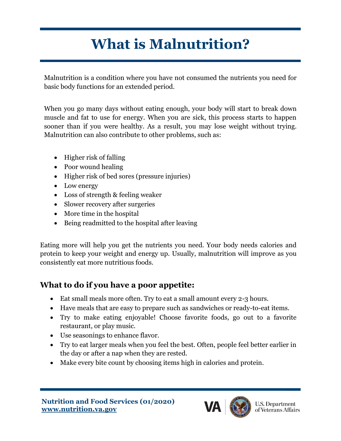## **What is Malnutrition?**

Malnutrition is a condition where you have not consumed the nutrients you need for basic body functions for an extended period.

When you go many days without eating enough, your body will start to break down muscle and fat to use for energy. When you are sick, this process starts to happen sooner than if you were healthy. As a result, you may lose weight without trying. Malnutrition can also contribute to other problems, such as:

- Higher risk of falling
- Poor wound healing
- Higher risk of bed sores (pressure injuries)
- Low energy
- Loss of strength & feeling weaker
- Slower recovery after surgeries
- More time in the hospital
- Being readmitted to the hospital after leaving

Eating more will help you get the nutrients you need. Your body needs calories and protein to keep your weight and energy up. Usually, malnutrition will improve as you consistently eat more nutritious foods.

## **What to do if you have a poor appetite:**

- Eat small meals more often. Try to eat a small amount every 2-3 hours.
- Have meals that are easy to prepare such as sandwiches or ready-to-eat items.
- Try to make eating enjoyable! Choose favorite foods, go out to a favorite restaurant, or play music.
- Use seasonings to enhance flavor.
- Try to eat larger meals when you feel the best. Often, people feel better earlier in the day or after a nap when they are rested.
- Make every bite count by choosing items high in calories and protein.